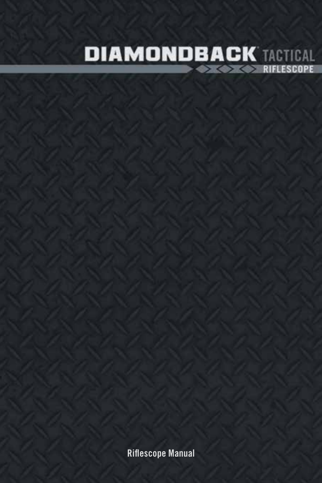

Riflescope Manual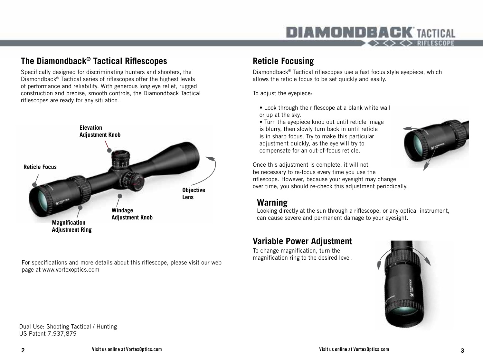#### **The Diamondback® Tactical Riflescopes**

Specifically designed for discriminating hunters and shooters, the Diamondback® Tactical series of riflescopes offer the highest levels of performance and reliability. With generous long eye relief, rugged construction and precise, smooth controls, the Diamondback Tactical riflescopes are ready for any situation.



For specifications and more details about this riflescope, please visit our web page at www.vortexoptics.com

#### **Reticle Focusing**

Diamondback® Tactical riflescopes use a fast focus style eyepiece, which allows the reticle focus to be set quickly and easily.

To adjust the eyepiece:

- Look through the riflescope at a blank white wall or up at the sky.
- Turn the eyepiece knob out until reticle image is blurry, then slowly turn back in until reticle is in sharp focus. Try to make this particular adjustment quickly, as the eye will try to compensate for an out-of-focus reticle.



Once this adjustment is complete, it will not be necessary to re-focus every time you use the riflescope. However, because your eyesight may change over time, you should re-check this adjustment periodically.

#### **Warning**

Looking directly at the sun through a riflescope, or any optical instrument, can cause severe and permanent damage to your eyesight.

#### **Variable Power Adjustment**

To change magnification, turn the



Dual Use: Shooting Tactical / Hunting US Patent 7,937,879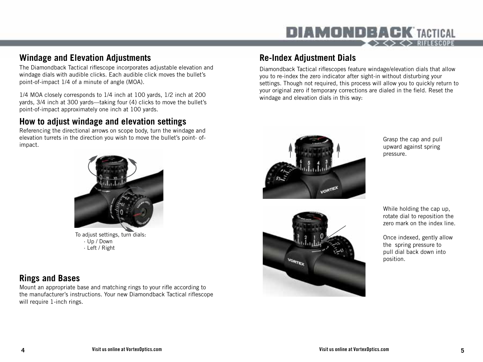#### **Windage and Elevation Adjustments**

The Diamondback Tactical riflescope incorporates adjustable elevation and windage dials with audible clicks. Each audible click moves the bullet's point-of-impact 1/4 of a minute of angle (MOA).

1/4 MOA closely corresponds to 1/4 inch at 100 yards, 1/2 inch at 200 yards, 3/4 inch at 300 yards—taking four (4) clicks to move the bullet's point-of-impact approximately one inch at 100 yards.

## **How to adjust windage and elevation settings**

Referencing the directional arrows on scope body, turn the windage and elevation turrets in the direction you wish to move the bullet's point- ofimpact.



To adjust settings, turn dials: · Up / Down · Left / Right

## **Rings and Bases**

Mount an appropriate base and matching rings to your rifle according to the manufacturer's instructions. Your new Diamondback Tactical riflescope will require 1-inch rings.

## **Re-Index Adjustment Dials**

Diamondback Tactical riflescopes feature windage/elevation dials that allow you to re-index the zero indicator after sight-in without disturbing your settings. Though not required, this process will allow you to quickly return to your original zero if temporary corrections are dialed in the field. Reset the windage and elevation dials in this way:



Grasp the cap and pull upward against spring pressure.



While holding the cap up, rotate dial to reposition the zero mark on the index line.

Once indexed, gently allow the spring pressure to pull dial back down into position.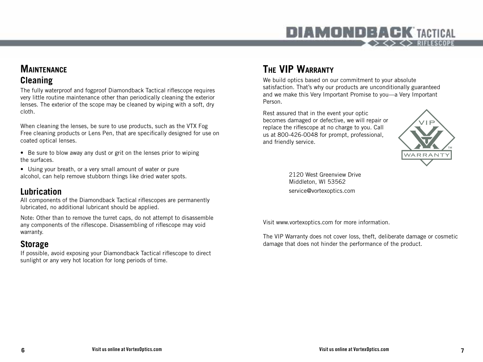### **Maintenance Cleaning**

The fully waterproof and fogproof Diamondback Tactical riflescope requires very little routine maintenance other than periodically cleaning the exterior lenses. The exterior of the scope may be cleaned by wiping with a soft, dry cloth.

When cleaning the lenses, be sure to use products, such as the VTX Fog Free cleaning products or Lens Pen, that are specifically designed for use on coated optical lenses.

- Be sure to blow away any dust or grit on the lenses prior to wiping the surfaces.
- Using your breath, or a very small amount of water or pure alcohol, can help remove stubborn things like dried water spots.

#### **Lubrication**

All components of the Diamondback Tactical riflescopes are permanently lubricated, no additional lubricant should be applied.

Note: Other than to remove the turret caps, do not attempt to disassemble any components of the riflescope. Disassembling of riflescope may void warranty.

### **Storage**

If possible, avoid exposing your Diamondback Tactical riflescope to direct sunlight or any very hot location for long periods of time.

# **The VIP Warranty**

We build optics based on our commitment to your absolute satisfaction. That's why our products are unconditionally guaranteed and we make this Very Important Promise to you—a Very Important Person.

Rest assured that in the event your optic becomes damaged or defective, we will repair or replace the riflescope at no charge to you. Call us at 800-426-0048 for prompt, professional, and friendly service.



2120 West Greenview Drive Middleton, WI 53562 service@vortexoptics.com

Visit www.vortexoptics.com for more information.

The VIP Warranty does not cover loss, theft, deliberate damage or cosmetic damage that does not hinder the performance of the product.